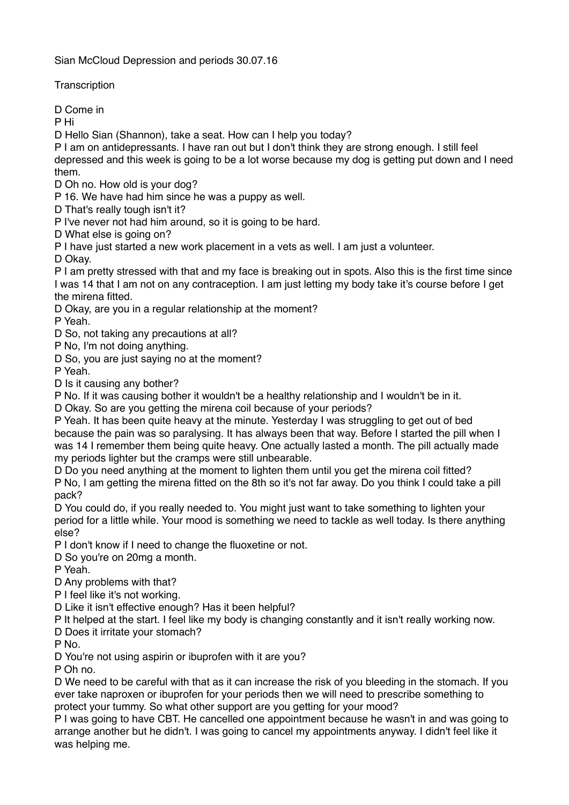Sian McCloud Depression and periods 30.07.16

**Transcription** 

D Come in

P Hi

D Hello Sian (Shannon), take a seat. How can I help you today?

P I am on antidepressants. I have ran out but I don't think they are strong enough. I still feel depressed and this week is going to be a lot worse because my dog is getting put down and I need them.

D Oh no. How old is your dog?

P 16. We have had him since he was a puppy as well.

D That's really tough isn't it?

P I've never not had him around, so it is going to be hard.

D What else is going on?

P I have just started a new work placement in a vets as well. I am just a volunteer.

D Okay.

P I am pretty stressed with that and my face is breaking out in spots. Also this is the first time since I was 14 that I am not on any contraception. I am just letting my body take it's course before I get the mirena fitted.

D Okay, are you in a regular relationship at the moment?

P Yeah.

D So, not taking any precautions at all?

P No, I'm not doing anything.

D So, you are just saying no at the moment?

P Yeah.

D Is it causing any bother?

P No. If it was causing bother it wouldn't be a healthy relationship and I wouldn't be in it.

D Okay. So are you getting the mirena coil because of your periods?

P Yeah. It has been quite heavy at the minute. Yesterday I was struggling to get out of bed because the pain was so paralysing. It has always been that way. Before I started the pill when I was 14 I remember them being quite heavy. One actually lasted a month. The pill actually made my periods lighter but the cramps were still unbearable.

D Do you need anything at the moment to lighten them until you get the mirena coil fitted? P No, I am getting the mirena fitted on the 8th so it's not far away. Do you think I could take a pill pack?

D You could do, if you really needed to. You might just want to take something to lighten your period for a little while. Your mood is something we need to tackle as well today. Is there anything else?

P I don't know if I need to change the fluoxetine or not.

D So you're on 20mg a month.

P Yeah.

D Any problems with that?

P I feel like it's not working.

D Like it isn't effective enough? Has it been helpful?

P It helped at the start. I feel like my body is changing constantly and it isn't really working now.

D Does it irritate your stomach?

P No.

D You're not using aspirin or ibuprofen with it are you?

P Oh no.

D We need to be careful with that as it can increase the risk of you bleeding in the stomach. If you ever take naproxen or ibuprofen for your periods then we will need to prescribe something to protect your tummy. So what other support are you getting for your mood?

P I was going to have CBT. He cancelled one appointment because he wasn't in and was going to arrange another but he didn't. I was going to cancel my appointments anyway. I didn't feel like it was helping me.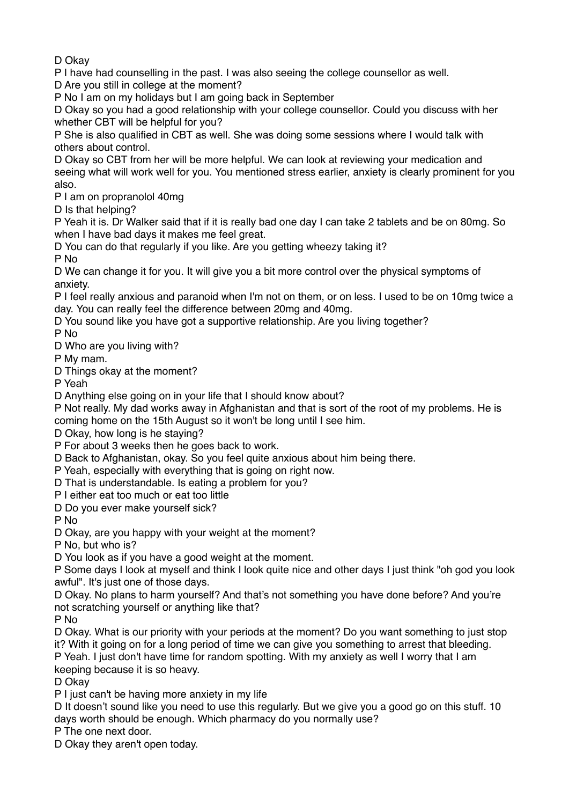D Okay

P I have had counselling in the past. I was also seeing the college counsellor as well.

D Are you still in college at the moment?

P No I am on my holidays but I am going back in September

D Okay so you had a good relationship with your college counsellor. Could you discuss with her whether CBT will be helpful for you?

P She is also qualified in CBT as well. She was doing some sessions where I would talk with others about control.

D Okay so CBT from her will be more helpful. We can look at reviewing your medication and seeing what will work well for you. You mentioned stress earlier, anxiety is clearly prominent for you also.

P I am on propranolol 40mg

D Is that helping?

P Yeah it is. Dr Walker said that if it is really bad one day I can take 2 tablets and be on 80mg. So when I have bad days it makes me feel great.

D You can do that regularly if you like. Are you getting wheezy taking it?

P No

D We can change it for you. It will give you a bit more control over the physical symptoms of anxiety.

P I feel really anxious and paranoid when I'm not on them, or on less. I used to be on 10mg twice a day. You can really feel the difference between 20mg and 40mg.

D You sound like you have got a supportive relationship. Are you living together?

P No

D Who are you living with?

P My mam.

D Things okay at the moment?

P Yeah

D Anything else going on in your life that I should know about?

P Not really. My dad works away in Afghanistan and that is sort of the root of my problems. He is coming home on the 15th August so it won't be long until I see him.

D Okay, how long is he staying?

P For about 3 weeks then he goes back to work.

D Back to Afghanistan, okay. So you feel quite anxious about him being there.

P Yeah, especially with everything that is going on right now.

D That is understandable. Is eating a problem for you?

P I either eat too much or eat too little

D Do you ever make yourself sick?

P No

D Okay, are you happy with your weight at the moment?

P No, but who is?

D You look as if you have a good weight at the moment.

P Some days I look at myself and think I look quite nice and other days I just think "oh god you look awful". It's just one of those days.

D Okay. No plans to harm yourself? And that's not something you have done before? And you're not scratching yourself or anything like that?

P No

D Okay. What is our priority with your periods at the moment? Do you want something to just stop it? With it going on for a long period of time we can give you something to arrest that bleeding.

P Yeah. I just don't have time for random spotting. With my anxiety as well I worry that I am keeping because it is so heavy.

D Okay

P I just can't be having more anxiety in my life

D It doesn't sound like you need to use this regularly. But we give you a good go on this stuff. 10 days worth should be enough. Which pharmacy do you normally use?

P The one next door.

D Okay they aren't open today.